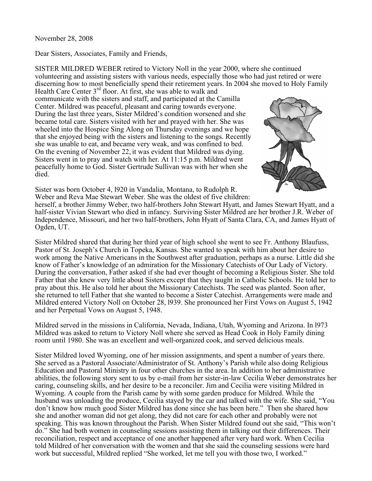November 28, 2008

Dear Sisters, Associates, Family and Friends,

SISTER MILDRED WEBER retired to Victory Noll in the year 2000, where she continued volunteering and assisting sisters with various needs, especially those who had just retired or were discerning how to most beneficially spend their retirement years. In 2004 she moved to Holy Family

Health Care Center 3<sup>rd</sup> floor. At first, she was able to walk and communicate with the sisters and staff, and participated at the Camilla Center. Mildred was peaceful, pleasant and caring towards everyone. During the last three years, Sister Mildred's condition worsened and she became total care. Sisters visited with her and prayed with her. She was wheeled into the Hospice Sing Along on Thursday evenings and we hope that she enjoyed being with the sisters and listening to the songs. Recently she was unable to eat, and became very weak, and was confined to bed. On the evening of November 22, it was evident that Mildred was dying. Sisters went in to pray and watch with her. At 11:15 p.m. Mildred went peacefully home to God. Sister Gertrude Sullivan was with her when she died.



Sister was born October 4, l920 in Vandalia, Montana, to Rudolph R. Weber and Reva Mae Stewart Weber. She was the oldest of five children:

herself, a brother Jimmy Weber, two half-brothers John Stewart Hyatt, and James Stewart Hyatt, and a half-sister Vivian Stewart who died in infancy. Surviving Sister Mildred are her brother J.R. Weber of Independence, Missouri, and her two half-brothers, John Hyatt of Santa Clara, CA, and James Hyatt of Ogden, UT.

Sister Mildred shared that during her third year of high school she went to see Fr. Anthony Blaufuss, Pastor of St. Joseph's Church in Topeka, Kansas. She wanted to speak with him about her desire to work among the Native Americans in the Southwest after graduation, perhaps as a nurse. Little did she know of Father's knowledge of an admiration for the Missionary Catechists of Our Lady of Victory. During the conversation, Father asked if she had ever thought of becoming a Religious Sister. She told Father that she knew very little about Sisters except that they taught in Catholic Schools. He told her to pray about this. He also told her about the Missionary Catechists. The seed was planted. Soon after, she returned to tell Father that she wanted to become a Sister Catechist. Arrangements were made and Mildred entered Victory Noll on October 28, 1939. She pronounced her First Vows on August 5, 1942 and her Perpetual Vows on August 5, 1948.

Mildred served in the missions in California, Nevada, Indiana, Utah, Wyoming and Arizona. In l973 Mildred was asked to return to Victory Noll where she served as Head Cook in Holy Family dining room until 1980. She was an excellent and well-organized cook, and served delicious meals.

Sister Mildred loved Wyoming, one of her mission assignments, and spent a number of years there. She served as a Pastoral Associate/Administrator of St. Anthony's Parish while also doing Religious Education and Pastoral Ministry in four other churches in the area. In addition to her administrative abilities, the following story sent to us by e-mail from her sister-in-law Cecilia Weber demonstrates her caring, counseling skills, and her desire to be a reconciler. Jim and Cecilia were visiting Mildred in Wyoming. A couple from the Parish came by with some garden produce for Mildred. While the husband was unloading the produce, Cecilia stayed by the car and talked with the wife. She said, "You don't know how much good Sister Mildred has done since she has been here." Then she shared how she and another woman did not get along, they did not care for each other and probably were not speaking. This was known throughout the Parish. When Sister Mildred found out she said, "This won't do." She had both women in counseling sessions assisting them in talking out their differences. Their reconciliation, respect and acceptance of one another happened after very hard work. When Cecilia told Mildred of her conversation with the women and that she said the counseling sessions were hard work but successful, Mildred replied "She worked, let me tell you with those two, I worked."